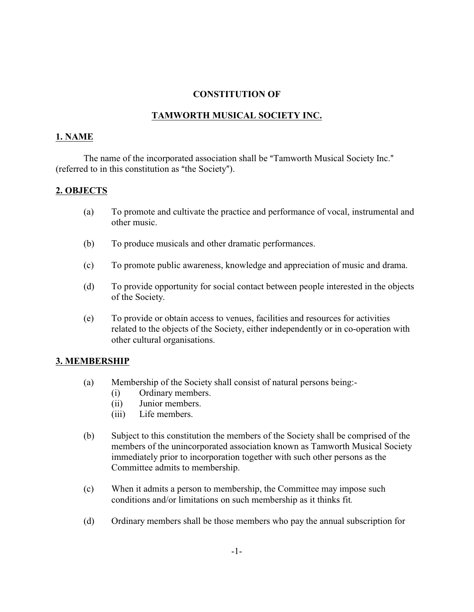#### **CONSTITUTION OF**

# **TAMWORTH MUSICAL SOCIETY INC.**

#### **1. NAME**

The name of the incorporated association shall be "Tamworth Musical Society Inc." (referred to in this constitution as "the Society").

#### **2. OBJECTS**

- (a) To promote and cultivate the practice and performance of vocal, instrumental and other music.
- (b) To produce musicals and other dramatic performances.
- (c) To promote public awareness, knowledge and appreciation of music and drama.
- (d) To provide opportunity for social contact between people interested in the objects of the Society.
- (e) To provide or obtain access to venues, facilities and resources for activities related to the objects of the Society, either independently or in co-operation with other cultural organisations.

## **3. MEMBERSHIP**

- (a) Membership of the Society shall consist of natural persons being:-
	- (i) Ordinary members.
	- (ii) Junior members.
	- (iii) Life members.
- (b) Subject to this constitution the members of the Society shall be comprised of the members of the unincorporated association known as Tamworth Musical Society immediately prior to incorporation together with such other persons as the Committee admits to membership.
- (c) When it admits a person to membership, the Committee may impose such conditions and/or limitations on such membership as it thinks fit*.*
- (d) Ordinary members shall be those members who pay the annual subscription for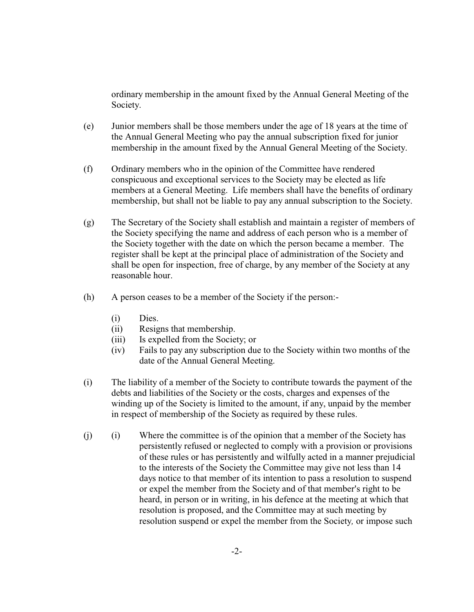ordinary membership in the amount fixed by the Annual General Meeting of the Society.

- (e) Junior members shall be those members under the age of 18 years at the time of the Annual General Meeting who pay the annual subscription fixed for junior membership in the amount fixed by the Annual General Meeting of the Society.
- (f) Ordinary members who in the opinion of the Committee have rendered conspicuous and exceptional services to the Society may be elected as life members at a General Meeting. Life members shall have the benefits of ordinary membership, but shall not be liable to pay any annual subscription to the Society.
- (g) The Secretary of the Society shall establish and maintain a register of members of the Society specifying the name and address of each person who is a member of the Society together with the date on which the person became a member. The register shall be kept at the principal place of administration of the Society and shall be open for inspection, free of charge, by any member of the Society at any reasonable hour.
- (h) A person ceases to be a member of the Society if the person:-
	- (i) Dies.
	- (ii) Resigns that membership.
	- (iii) Is expelled from the Society; or
	- (iv) Fails to pay any subscription due to the Society within two months of the date of the Annual General Meeting.
- (i) The liability of a member of the Society to contribute towards the payment of the debts and liabilities of the Society or the costs, charges and expenses of the winding up of the Society is limited to the amount, if any, unpaid by the member in respect of membership of the Society as required by these rules.
- (j) (i) Where the committee is of the opinion that a member of the Society has persistently refused or neglected to comply with a provision or provisions of these rules or has persistently and wilfully acted in a manner prejudicial to the interests of the Society the Committee may give not less than 14 days notice to that member of its intention to pass a resolution to suspend or expel the member from the Society and of that member's right to be heard, in person or in writing, in his defence at the meeting at which that resolution is proposed, and the Committee may at such meeting by resolution suspend or expel the member from the Society*,* or impose such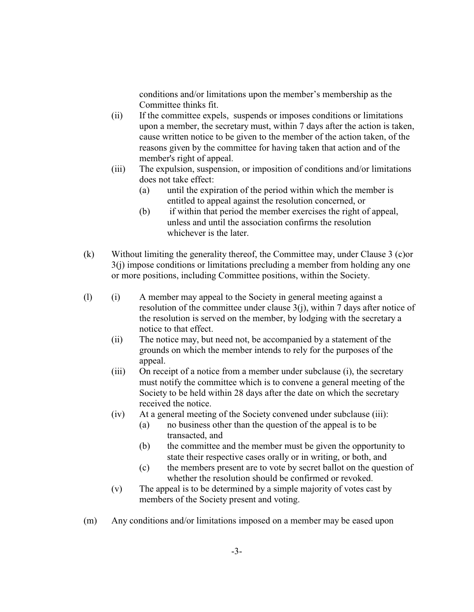conditions and/or limitations upon the member's membership as the Committee thinks fit.

- (ii) If the committee expels, suspends or imposes conditions or limitations upon a member, the secretary must, within 7 days after the action is taken, cause written notice to be given to the member of the action taken, of the reasons given by the committee for having taken that action and of the member's right of appeal.
- (iii) The expulsion, suspension, or imposition of conditions and/or limitations does not take effect:
	- (a) until the expiration of the period within which the member is entitled to appeal against the resolution concerned, or
	- (b) if within that period the member exercises the right of appeal, unless and until the association confirms the resolution whichever is the later.
- (k) Without limiting the generality thereof, the Committee may, under Clause 3 (c)or 3(j) impose conditions or limitations precluding a member from holding any one or more positions, including Committee positions, within the Society.
- (l) (i) A member may appeal to the Society in general meeting against a resolution of the committee under clause 3(j), within 7 days after notice of the resolution is served on the member, by lodging with the secretary a notice to that effect.
	- (ii) The notice may, but need not, be accompanied by a statement of the grounds on which the member intends to rely for the purposes of the appeal.
	- (iii) On receipt of a notice from a member under subclause (i), the secretary must notify the committee which is to convene a general meeting of the Society to be held within 28 days after the date on which the secretary received the notice.
	- (iv) At a general meeting of the Society convened under subclause (iii):
		- (a) no business other than the question of the appeal is to be transacted, and
		- (b) the committee and the member must be given the opportunity to state their respective cases orally or in writing, or both, and
		- (c) the members present are to vote by secret ballot on the question of whether the resolution should be confirmed or revoked.
	- (v) The appeal is to be determined by a simple majority of votes cast by members of the Society present and voting.
- (m) Any conditions and/or limitations imposed on a member may be eased upon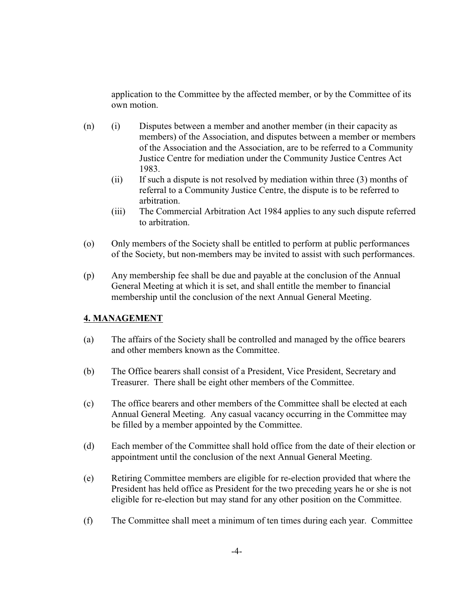application to the Committee by the affected member, or by the Committee of its own motion.

- (n) (i) Disputes between a member and another member (in their capacity as members) of the Association, and disputes between a member or members of the Association and the Association, are to be referred to a Community Justice Centre for mediation under the Community Justice Centres Act 1983.
	- (ii) If such a dispute is not resolved by mediation within three (3) months of referral to a Community Justice Centre, the dispute is to be referred to arbitration.
	- (iii) The Commercial Arbitration Act 1984 applies to any such dispute referred to arbitration.
- (o) Only members of the Society shall be entitled to perform at public performances of the Society, but non-members may be invited to assist with such performances.
- (p) Any membership fee shall be due and payable at the conclusion of the Annual General Meeting at which it is set, and shall entitle the member to financial membership until the conclusion of the next Annual General Meeting.

## **4. MANAGEMENT**

- (a) The affairs of the Society shall be controlled and managed by the office bearers and other members known as the Committee.
- (b) The Office bearers shall consist of a President, Vice President, Secretary and Treasurer. There shall be eight other members of the Committee.
- (c) The office bearers and other members of the Committee shall be elected at each Annual General Meeting. Any casual vacancy occurring in the Committee may be filled by a member appointed by the Committee.
- (d) Each member of the Committee shall hold office from the date of their election or appointment until the conclusion of the next Annual General Meeting.
- (e) Retiring Committee members are eligible for re-election provided that where the President has held office as President for the two preceding years he or she is not eligible for re-election but may stand for any other position on the Committee.
- (f) The Committee shall meet a minimum of ten times during each year. Committee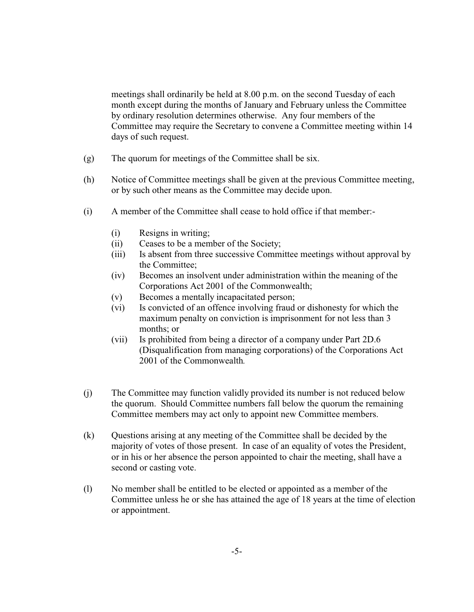meetings shall ordinarily be held at 8.00 p.m. on the second Tuesday of each month except during the months of January and February unless the Committee by ordinary resolution determines otherwise. Any four members of the Committee may require the Secretary to convene a Committee meeting within 14 days of such request.

- (g) The quorum for meetings of the Committee shall be six.
- (h) Notice of Committee meetings shall be given at the previous Committee meeting, or by such other means as the Committee may decide upon.
- (i) A member of the Committee shall cease to hold office if that member:-
	- (i) Resigns in writing;
	- (ii) Ceases to be a member of the Society;
	- (iii) Is absent from three successive Committee meetings without approval by the Committee;
	- (iv) Becomes an insolvent under administration within the meaning of the Corporations Act 2001 of the Commonwealth;
	- (v) Becomes a mentally incapacitated person;
	- (vi) Is convicted of an offence involving fraud or dishonesty for which the maximum penalty on conviction is imprisonment for not less than 3 months; or
	- (vii) Is prohibited from being a director of a company under Part 2D.6 (Disqualification from managing corporations) of the Corporations Act 2001 of the Commonwealth*.*
- (j) The Committee may function validly provided its number is not reduced below the quorum. Should Committee numbers fall below the quorum the remaining Committee members may act only to appoint new Committee members.
- (k) Questions arising at any meeting of the Committee shall be decided by the majority of votes of those present. In case of an equality of votes the President, or in his or her absence the person appointed to chair the meeting, shall have a second or casting vote.
- (l) No member shall be entitled to be elected or appointed as a member of the Committee unless he or she has attained the age of 18 years at the time of election or appointment.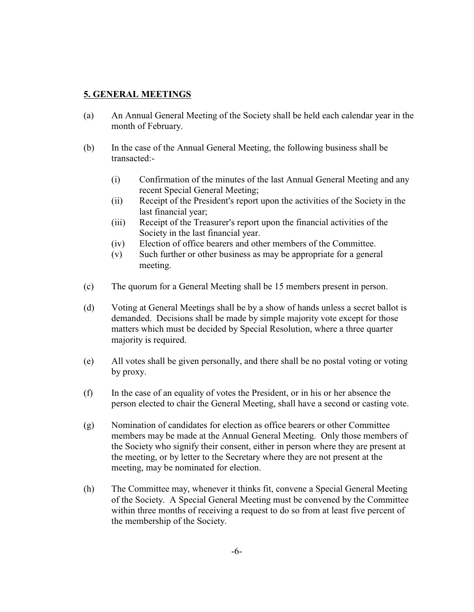#### **5. GENERAL MEETINGS**

- (a) An Annual General Meeting of the Society shall be held each calendar year in the month of February.
- (b) In the case of the Annual General Meeting, the following business shall be transacted:-
	- (i) Confirmation of the minutes of the last Annual General Meeting and any recent Special General Meeting;
	- $(iii)$  Receipt of the President's report upon the activities of the Society in the last financial year;
	- (iii) Receipt of the Treasurer's report upon the financial activities of the Society in the last financial year.
	- (iv) Election of office bearers and other members of the Committee.
	- (v) Such further or other business as may be appropriate for a general meeting.
- (c) The quorum for a General Meeting shall be 15 members present in person.
- (d) Voting at General Meetings shall be by a show of hands unless a secret ballot is demanded. Decisions shall be made by simple majority vote except for those matters which must be decided by Special Resolution, where a three quarter majority is required.
- (e) All votes shall be given personally, and there shall be no postal voting or voting by proxy.
- (f) In the case of an equality of votes the President, or in his or her absence the person elected to chair the General Meeting, shall have a second or casting vote.
- (g) Nomination of candidates for election as office bearers or other Committee members may be made at the Annual General Meeting. Only those members of the Society who signify their consent, either in person where they are present at the meeting, or by letter to the Secretary where they are not present at the meeting, may be nominated for election.
- (h) The Committee may, whenever it thinks fit, convene a Special General Meeting of the Society. A Special General Meeting must be convened by the Committee within three months of receiving a request to do so from at least five percent of the membership of the Society.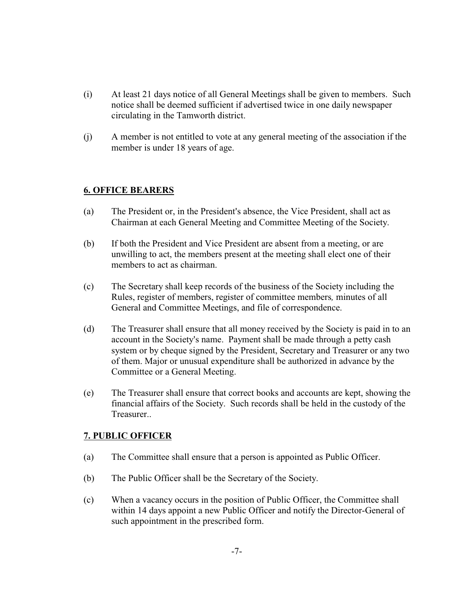- (i) At least 21 days notice of all General Meetings shall be given to members. Such notice shall be deemed sufficient if advertised twice in one daily newspaper circulating in the Tamworth district.
- (j) A member is not entitled to vote at any general meeting of the association if the member is under 18 years of age.

#### **6. OFFICE BEARERS**

- (a) The President or, in the President's absence, the Vice President, shall act as Chairman at each General Meeting and Committee Meeting of the Society.
- (b) If both the President and Vice President are absent from a meeting, or are unwilling to act, the members present at the meeting shall elect one of their members to act as chairman.
- (c) The Secretary shall keep records of the business of the Society including the Rules, register of members, register of committee members*,* minutes of all General and Committee Meetings, and file of correspondence.
- (d) The Treasurer shall ensure that all money received by the Society is paid in to an account in the Society's name. Payment shall be made through a petty cash system or by cheque signed by the President, Secretary and Treasurer or any two of them. Major or unusual expenditure shall be authorized in advance by the Committee or a General Meeting.
- (e) The Treasurer shall ensure that correct books and accounts are kept, showing the financial affairs of the Society. Such records shall be held in the custody of the Treasurer..

## **7. PUBLIC OFFICER**

- (a) The Committee shall ensure that a person is appointed as Public Officer.
- (b) The Public Officer shall be the Secretary of the Society.
- (c) When a vacancy occurs in the position of Public Officer, the Committee shall within 14 days appoint a new Public Officer and notify the Director-General of such appointment in the prescribed form.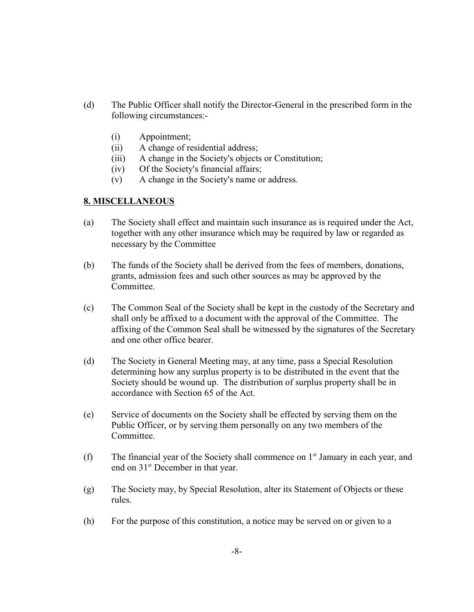- (d) The Public Officer shall notify the Director-General in the prescribed form in the following circumstances:-
	- (i) Appointment;
	- (ii) A change of residential address;
	- (iii) A change in the Society's objects or Constitution;
	- $(iv)$  Of the Society's financial affairs;
	- $(v)$  A change in the Society's name or address.

## **8. MISCELLANEOUS**

- (a) The Society shall effect and maintain such insurance as is required under the Act, together with any other insurance which may be required by law or regarded as necessary by the Committee
- (b) The funds of the Society shall be derived from the fees of members, donations, grants, admission fees and such other sources as may be approved by the Committee.
- (c) The Common Seal of the Society shall be kept in the custody of the Secretary and shall only be affixed to a document with the approval of the Committee. The affixing of the Common Seal shall be witnessed by the signatures of the Secretary and one other office bearer.
- (d) The Society in General Meeting may, at any time, pass a Special Resolution determining how any surplus property is to be distributed in the event that the Society should be wound up. The distribution of surplus property shall be in accordance with Section 65 of the Act.
- (e) Service of documents on the Society shall be effected by serving them on the Public Officer, or by serving them personally on any two members of the Committee.
- (f) The financial year of the Society shall commence on  $1<sup>st</sup>$  January in each year, and end on 31<sup>st</sup> December in that year.
- (g) The Society may, by Special Resolution, alter its Statement of Objects or these rules.
- (h) For the purpose of this constitution, a notice may be served on or given to a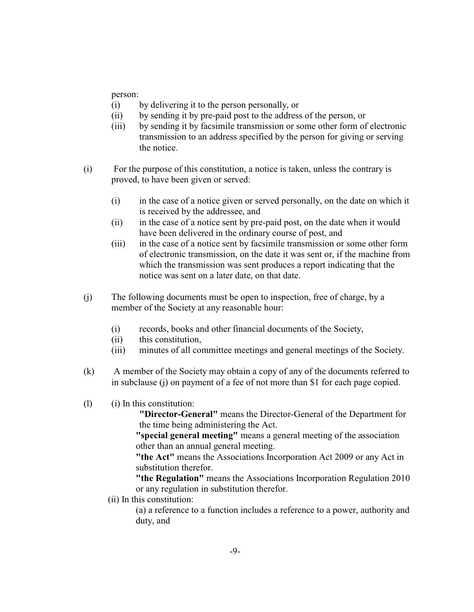person:

- (i) by delivering it to the person personally, or
- (ii) by sending it by pre-paid post to the address of the person, or
- (iii) by sending it by facsimile transmission or some other form of electronic transmission to an address specified by the person for giving or serving the notice.
- (i) For the purpose of this constitution, a notice is taken, unless the contrary is proved, to have been given or served:
	- (i) in the case of a notice given or served personally, on the date on which it is received by the addressee, and
	- (ii) in the case of a notice sent by pre-paid post, on the date when it would have been delivered in the ordinary course of post, and
	- (iii) in the case of a notice sent by facsimile transmission or some other form of electronic transmission, on the date it was sent or, if the machine from which the transmission was sent produces a report indicating that the notice was sent on a later date, on that date.
- (j) The following documents must be open to inspection, free of charge, by a member of the Society at any reasonable hour:
	- (i) records, books and other financial documents of the Society,
	- (ii) this constitution,
	- (iii) minutes of all committee meetings and general meetings of the Society.
- (k) A member of the Society may obtain a copy of any of the documents referred to in subclause (j) on payment of a fee of not more than \$1 for each page copied.
- (l) (i) In this constitution:

**"Director-General"** means the Director-General of the Department for the time being administering the Act.

**"special general meeting"** means a general meeting of the association other than an annual general meeting.

**"the Act"** means the Associations Incorporation Act 2009 or any Act in substitution therefor.

**"the Regulation"** means the Associations Incorporation Regulation 2010 or any regulation in substitution therefor.

(ii) In this constitution:

(a) a reference to a function includes a reference to a power, authority and duty, and